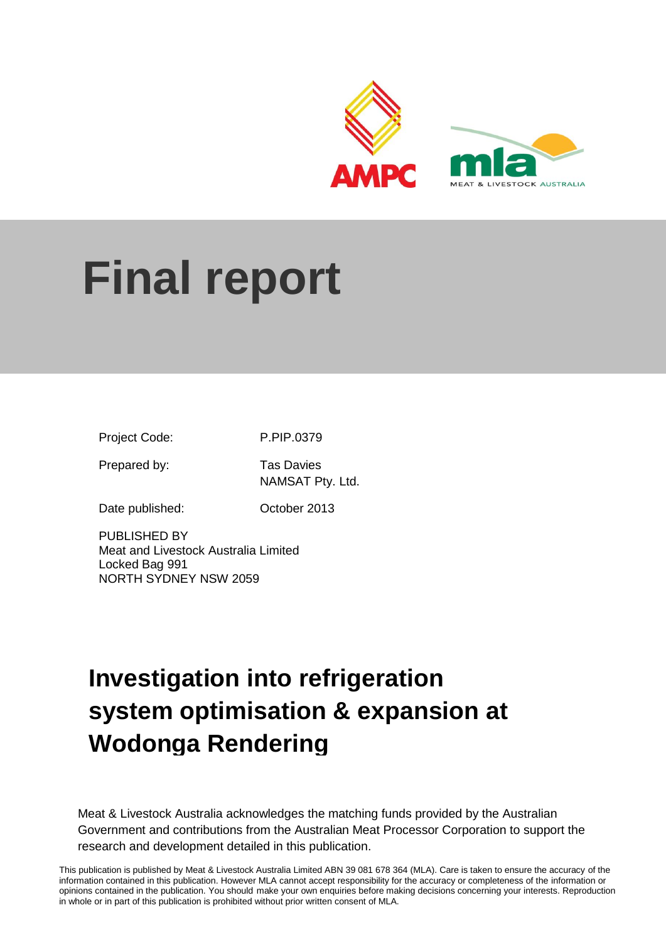

# **Final report**

Project Code: P.PIP.0379

Prepared by: Tas Davies

NAMSAT Pty. Ltd.

Date published: October 2013

PUBLISHED BY Meat and Livestock Australia Limited Locked Bag 991 NORTH SYDNEY NSW 2059

## **Investigation into refrigeration system optimisation & expansion at Wodonga Rendering**

Meat & Livestock Australia acknowledges the matching funds provided by the Australian Government and contributions from the Australian Meat Processor Corporation to support the research and development detailed in this publication.

1 information contained in this publication. However MLA cannot accept responsibility for the accuracy or completeness of the information or This publication is published by Meat & Livestock Australia Limited ABN 39 081 678 364 (MLA). Care is taken to ensure the accuracy of the opinions contained in the publication. You should make your own enquiries before making decisions concerning your interests. Reproduction in whole or in part of this publication is prohibited without prior written consent of MLA.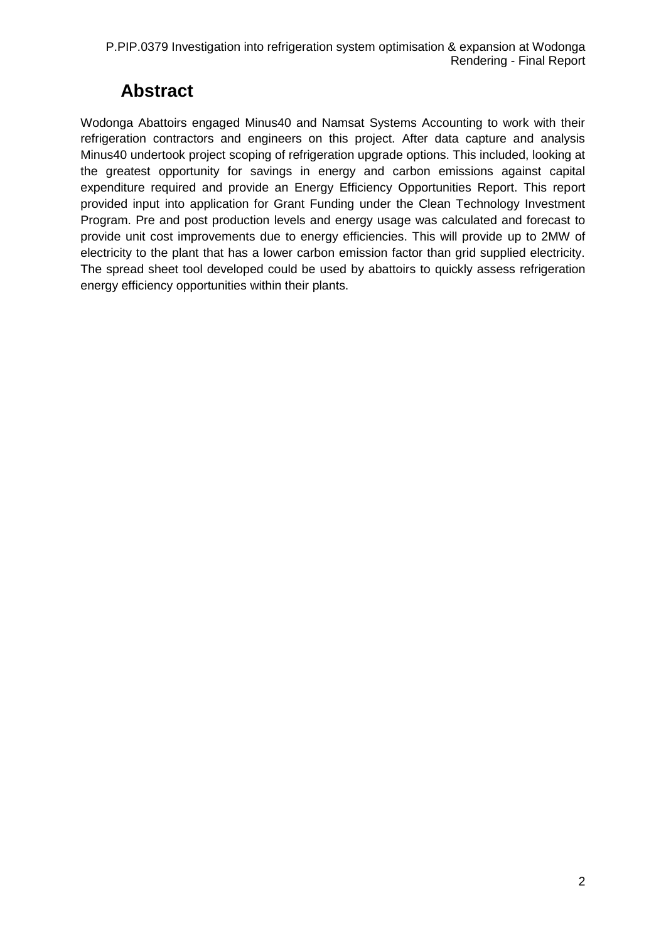#### **Abstract**

<span id="page-1-0"></span>Wodonga Abattoirs engaged Minus40 and Namsat Systems Accounting to work with their refrigeration contractors and engineers on this project. After data capture and analysis Minus40 undertook project scoping of refrigeration upgrade options. This included, looking at the greatest opportunity for savings in energy and carbon emissions against capital expenditure required and provide an Energy Efficiency Opportunities Report. This report provided input into application for Grant Funding under the Clean Technology Investment Program. Pre and post production levels and energy usage was calculated and forecast to provide unit cost improvements due to energy efficiencies. This will provide up to 2MW of electricity to the plant that has a lower carbon emission factor than grid supplied electricity. The spread sheet tool developed could be used by abattoirs to quickly assess refrigeration energy efficiency opportunities within their plants.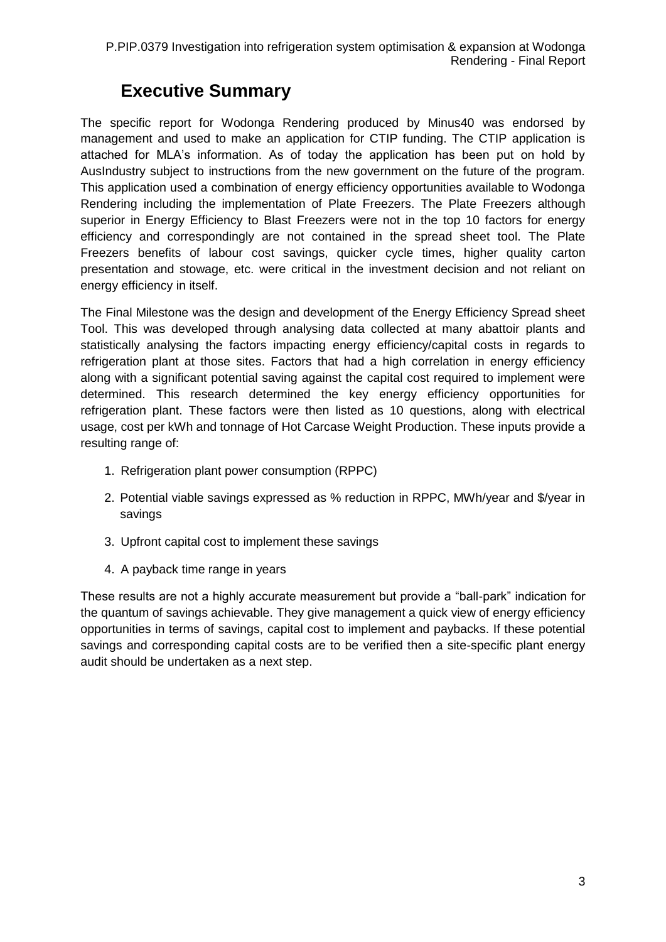#### **Executive Summary**

<span id="page-2-0"></span>The specific report for Wodonga Rendering produced by Minus40 was endorsed by management and used to make an application for CTIP funding. The CTIP application is attached for MLA's information. As of today the application has been put on hold by AusIndustry subject to instructions from the new government on the future of the program. This application used a combination of energy efficiency opportunities available to Wodonga Rendering including the implementation of Plate Freezers. The Plate Freezers although superior in Energy Efficiency to Blast Freezers were not in the top 10 factors for energy efficiency and correspondingly are not contained in the spread sheet tool. The Plate Freezers benefits of labour cost savings, quicker cycle times, higher quality carton presentation and stowage, etc. were critical in the investment decision and not reliant on energy efficiency in itself.

The Final Milestone was the design and development of the Energy Efficiency Spread sheet Tool. This was developed through analysing data collected at many abattoir plants and statistically analysing the factors impacting energy efficiency/capital costs in regards to refrigeration plant at those sites. Factors that had a high correlation in energy efficiency along with a significant potential saving against the capital cost required to implement were determined. This research determined the key energy efficiency opportunities for refrigeration plant. These factors were then listed as 10 questions, along with electrical usage, cost per kWh and tonnage of Hot Carcase Weight Production. These inputs provide a resulting range of:

- 1. Refrigeration plant power consumption (RPPC)
- 2. Potential viable savings expressed as % reduction in RPPC, MWh/year and \$/year in savings
- 3. Upfront capital cost to implement these savings
- 4. A payback time range in years

These results are not a highly accurate measurement but provide a "ball-park" indication for the quantum of savings achievable. They give management a quick view of energy efficiency opportunities in terms of savings, capital cost to implement and paybacks. If these potential savings and corresponding capital costs are to be verified then a site-specific plant energy audit should be undertaken as a next step.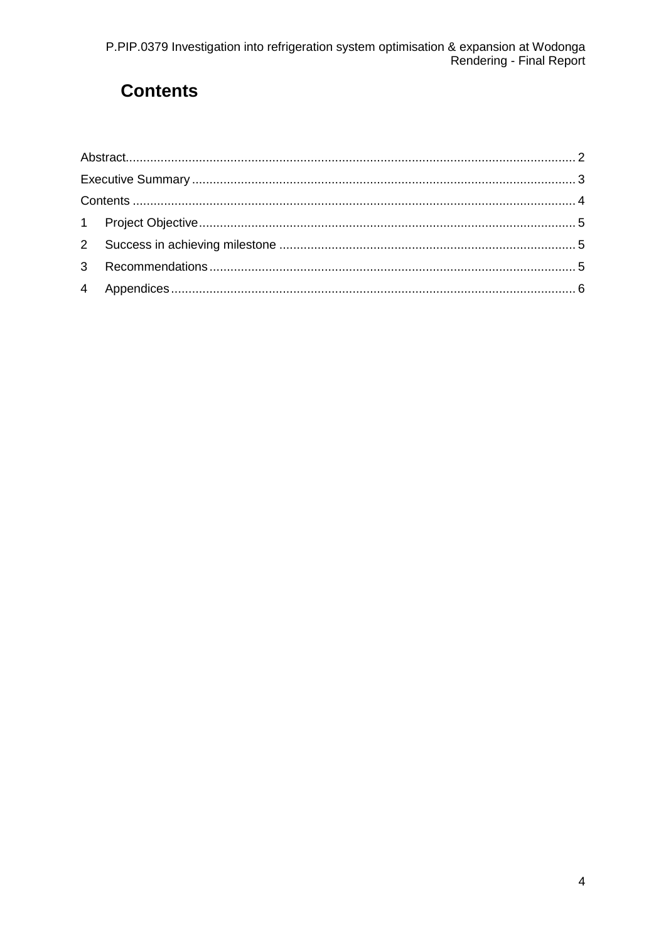## <span id="page-3-0"></span>**Contents**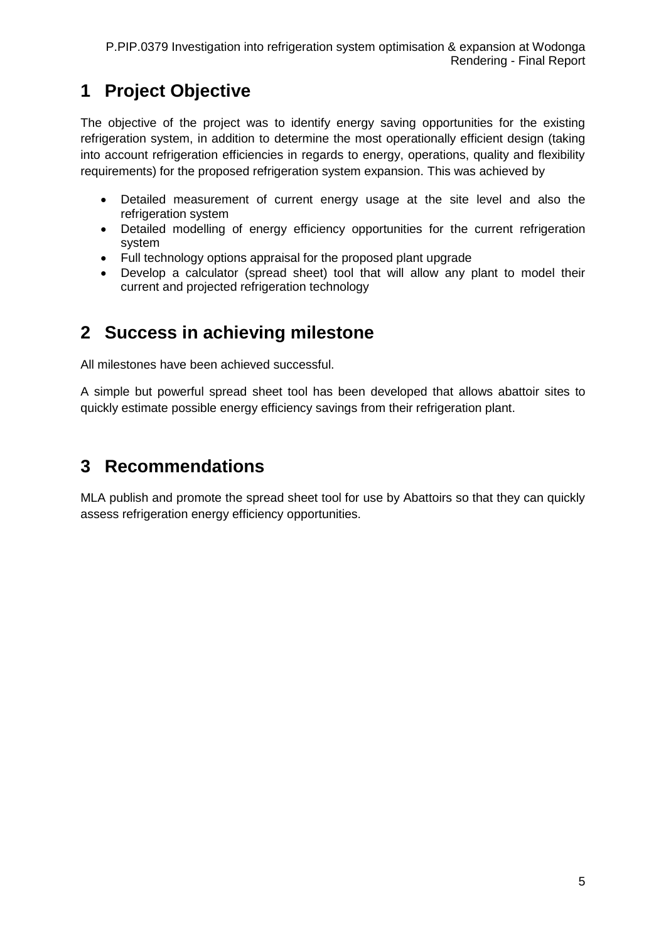## <span id="page-4-0"></span>**1 Project Objective**

The objective of the project was to identify energy saving opportunities for the existing refrigeration system, in addition to determine the most operationally efficient design (taking into account refrigeration efficiencies in regards to energy, operations, quality and flexibility requirements) for the proposed refrigeration system expansion. This was achieved by

- Detailed measurement of current energy usage at the site level and also the refrigeration system
- Detailed modelling of energy efficiency opportunities for the current refrigeration system
- Full technology options appraisal for the proposed plant upgrade
- Develop a calculator (spread sheet) tool that will allow any plant to model their current and projected refrigeration technology

## <span id="page-4-1"></span>**2 Success in achieving milestone**

All milestones have been achieved successful.

A simple but powerful spread sheet tool has been developed that allows abattoir sites to quickly estimate possible energy efficiency savings from their refrigeration plant.

### <span id="page-4-2"></span>**3 Recommendations**

MLA publish and promote the spread sheet tool for use by Abattoirs so that they can quickly assess refrigeration energy efficiency opportunities.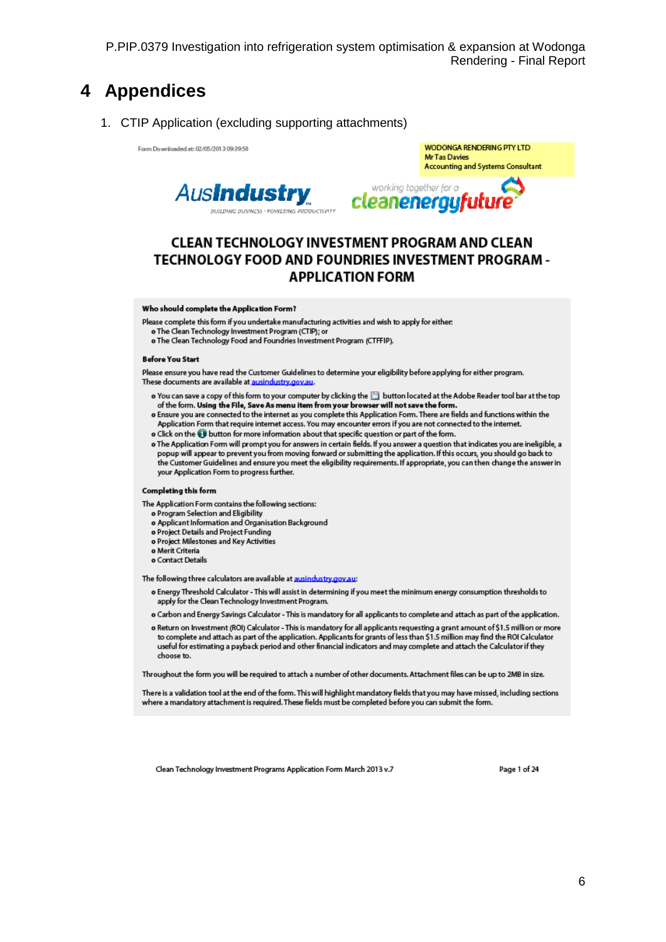#### <span id="page-5-0"></span>4 Appendices

1. CTIP Application (excluding supporting attachments)

Form Downloaded at: 02/05/2013 09:39:50





#### CLEAN TECHNOLOGY INVESTMENT PROGRAM AND CLEAN **TECHNOLOGY FOOD AND FOUNDRIES INVESTMENT PROGRAM -APPLICATION FORM**

#### Who should complete the Application Form?

Please complete this form if you undertake manufacturing activities and wish to apply for either.

- o The Clean Technology Investment Program (CTIP); or
- o The Clean Technology Food and Foundries Investment Program (CTFFIP).

#### **Before You Start**

Please ensure you have read the Customer Guidelines to determine your eligibility before applying for either program. These documents are available at ausindustry.gov

- o You can save a copy of this form to your computer by clicking the in button located at the Adobe Reader tool bar at the top of the form. Using the File, Save As menu item from your browser will not save the form.
- o Ensure you are connected to the internet as you complete this Application Form. There are fields and functions within the Application Form that require internet access. You may encounter errors if you are not connected to the internet.
- o Click on the ig button for more information about that specific question or part of the form.
- o The Application Form will prompt you for answers in certain fields. If you answer a question that indicates you are ineligible, a popup will appear to prevent you from moving forward or submitting the application. If this occurs, you should go back to the Customer Guidelines and ensure you meet the eligibility requirements. If appropriate, you can then change the answer in your Application Form to progress further.

#### Completing this form

- The Application Form contains the following sections:
	- o Program Selection and Eligibility
	- o Applicant Information and Organisation Background
	- o Project Details and Project Funding
	- o Project Milestones and Key Activities
	- o Merit Criteria
	- o Contact Details

The following three calculators are available at ausindustry.gov.au:

- o Energy Threshold Calculator This will assist in determining if you meet the minimum energy consumption thresholds to apply for the Clean Technology Investment Program.
- o Carbon and Energy Savings Calculator This is mandatory for all applicants to complete and attach as part of the application.
- o Return on Investment (ROI) Calculator This is mandatory for all applicants requesting a grant amount of \$1.5 million or more to complete and attach as part of the application. Applicants for grants of less than \$1.5 million may find the ROI Calculator useful for estimating a payback period and other financial indicators and may complete and attach the Calculator if they choose to.

Throughout the form you will be required to attach a number of other documents. Attachment files can be up to 2MB in size.

There is a validation tool at the end of the form. This will highlight mandatory fields that you may have missed, including sections where a mandatory attachment is required. These fields must be completed before you can submit the form.

Clean Technology Investment Programs Application Form March 2013 v.7

Page 1 of 24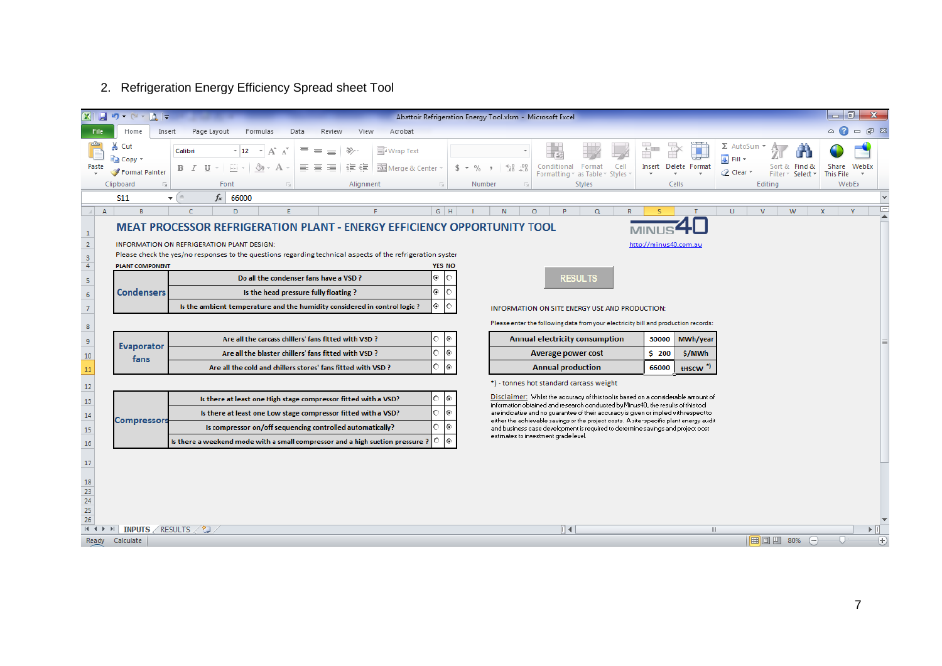#### 2. Refrigeration Energy Efficiency Spread sheet Tool

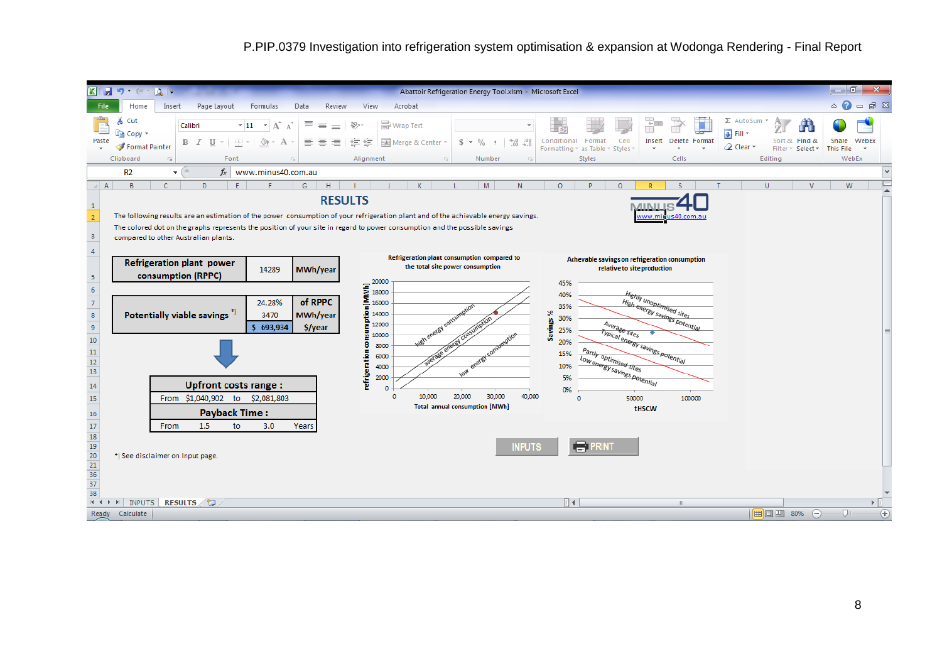P.PIP.0379 Investigation into refrigeration system optimisation & expansion at Wodonga Rendering - Final Report